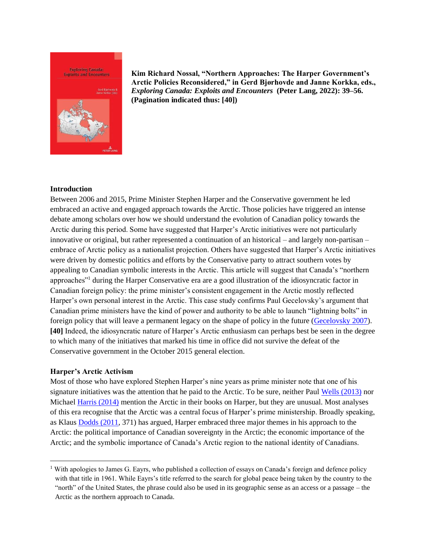

**Kim Richard Nossal, "Northern Approaches: The Harper Government's Arctic Policies Reconsidered," in Gerd Bjørhovde and Janne Korkka, eds.,**  *Exploring Canada: Exploits and Encounters* **(Peter Lang, 2022): 39–56. (Pagination indicated thus: [40])**

# **Introduction**

Between 2006 and 2015, Prime Minister Stephen Harper and the Conservative government he led embraced an active and engaged approach towards the Arctic. Those policies have triggered an intense debate among scholars over how we should understand the evolution of Canadian policy towards the Arctic during this period. Some have suggested that Harper's Arctic initiatives were not particularly innovative or original, but rather represented a continuation of an historical – and largely non-partisan – embrace of Arctic policy as a nationalist projection. Others have suggested that Harper's Arctic initiatives were driven by domestic politics and efforts by the Conservative party to attract southern votes by appealing to Canadian symbolic interests in the Arctic. This article will suggest that Canada's "northern approaches"<sup>1</sup> during the Harper Conservative era are a good illustration of the idiosyncratic factor in Canadian foreign policy: the prime minister's consistent engagement in the Arctic mostly reflected Harper's own personal interest in the Arctic. This case study confirms Paul Gecelovsky's argument that Canadian prime ministers have the kind of power and authority to be able to launch "lightning bolts" in foreign policy that will leave a permanent legacy on the shape of policy in the future [\(Gecelovsky 2007\)](#page-9-0). **[40]** Indeed, the idiosyncratic nature of Harper's Arctic enthusiasm can perhaps best be seen in the degree to which many of the initiatives that marked his time in office did not survive the defeat of the Conservative government in the October 2015 general election.

### **Harper's Arctic Activism**

Most of those who have explored Stephen Harper's nine years as prime minister note that one of his signature initiatives was the attention that he paid to the Arctic. To be sure, neither Paul [Wells \(2013\)](#page-11-0) nor Michael [Harris \(2014\)](#page-10-0) mention the Arctic in their books on Harper, but they are unusual. Most analyses of this era recognise that the Arctic was a central focus of Harper's prime ministership. Broadly speaking, as Klaus [Dodds \(2011,](#page-9-1) 371) has argued, Harper embraced three major themes in his approach to the Arctic: the political importance of Canadian sovereignty in the Arctic; the economic importance of the Arctic; and the symbolic importance of Canada's Arctic region to the national identity of Canadians.

<sup>&</sup>lt;sup>1</sup> With apologies to James G. Eayrs, who published a collection of essays on Canada's foreign and defence policy with that title in 1961. While Eayrs's title referred to the search for global peace being taken by the country to the "north" of the United States, the phrase could also be used in its geographic sense as an access or a passage – the Arctic as the northern approach to Canada.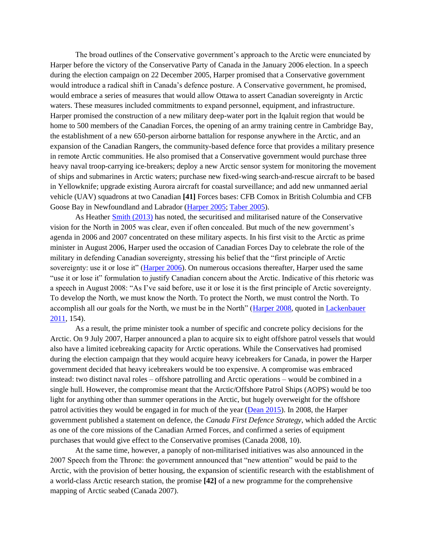The broad outlines of the Conservative government's approach to the Arctic were enunciated by Harper before the victory of the Conservative Party of Canada in the January 2006 election. In a speech during the election campaign on 22 December 2005, Harper promised that a Conservative government would introduce a radical shift in Canada's defence posture. A Conservative government, he promised, would embrace a series of measures that would allow Ottawa to assert Canadian sovereignty in Arctic waters. These measures included commitments to expand personnel, equipment, and infrastructure. Harper promised the construction of a new military deep-water port in the Iqaluit region that would be home to 500 members of the Canadian Forces, the opening of an army training centre in Cambridge Bay, the establishment of a new 650-person airborne battalion for response anywhere in the Arctic, and an expansion of the Canadian Rangers, the community-based defence force that provides a military presence in remote Arctic communities. He also promised that a Conservative government would purchase three heavy naval troop-carrying ice-breakers; deploy a new Arctic sensor system for monitoring the movement of ships and submarines in Arctic waters; purchase new fixed-wing search-and-rescue aircraft to be based in Yellowknife; upgrade existing Aurora aircraft for coastal surveillance; and add new unmanned aerial vehicle (UAV) squadrons at two Canadian **[41]** Forces bases: CFB Comox in British Columbia and CFB Goose Bay in Newfoundland and Labrador [\(Harper 2005;](#page-10-1) [Taber 2005\)](#page-11-1).

As Heather [Smith \(2013\)](#page-11-2) has noted, the securitised and militarised nature of the Conservative vision for the North in 2005 was clear, even if often concealed. But much of the new government's agenda in 2006 and 2007 concentrated on these military aspects. In his first visit to the Arctic as prime minister in August 2006, Harper used the occasion of Canadian Forces Day to celebrate the role of the military in defending Canadian sovereignty, stressing his belief that the "first principle of Arctic sovereignty: use it or lose it" [\(Harper 2006\)](#page-10-2). On numerous occasions thereafter, Harper used the same "use it or lose it" formulation to justify Canadian concern about the Arctic. Indicative of this rhetoric was a speech in August 2008: "As I've said before, use it or lose it is the first principle of Arctic sovereignty. To develop the North, we must know the North. To protect the North, we must control the North. To accomplish all our goals for the North, we must be in the North" [\(Harper 2008,](#page-10-3) quoted in [Lackenbauer](#page-10-4)  [2011,](#page-10-4) 154).

As a result, the prime minister took a number of specific and concrete policy decisions for the Arctic. On 9 July 2007, Harper announced a plan to acquire six to eight offshore patrol vessels that would also have a limited icebreaking capacity for Arctic operations. While the Conservatives had promised during the election campaign that they would acquire heavy icebreakers for Canada, in power the Harper government decided that heavy icebreakers would be too expensive. A compromise was embraced instead: two distinct naval roles – offshore patrolling and Arctic operations – would be combined in a single hull. However, the compromise meant that the Arctic/Offshore Patrol Ships (AOPS) would be too light for anything other than summer operations in the Arctic, but hugely overweight for the offshore patrol activities they would be engaged in for much of the year [\(Dean 2015\)](#page-9-2). In 2008, the Harper government published a statement on defence, the *Canada First Defence Strategy*, which added the Arctic as one of the core missions of the Canadian Armed Forces, and confirmed a series of equipment purchases that would give effect to the Conservative promises (Canada 2008, 10).

At the same time, however, a panoply of non-militarised initiatives was also announced in the 2007 Speech from the Throne: the government announced that "new attention" would be paid to the Arctic, with the provision of better housing, the expansion of scientific research with the establishment of a world-class Arctic research station, the promise **[42]** of a new programme for the comprehensive mapping of Arctic seabed (Canada 2007).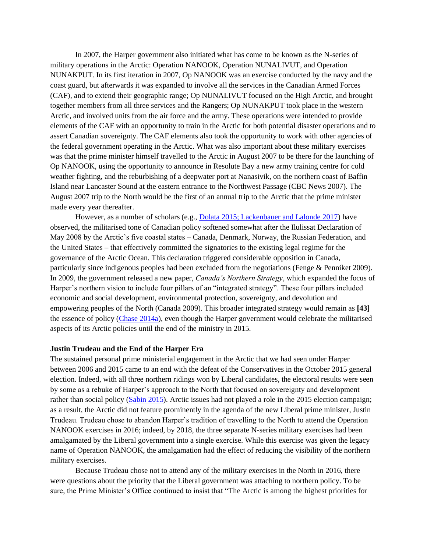In 2007, the Harper government also initiated what has come to be known as the N-series of military operations in the Arctic: Operation NANOOK, Operation NUNALIVUT, and Operation NUNAKPUT. In its first iteration in 2007, Op NANOOK was an exercise conducted by the navy and the coast guard, but afterwards it was expanded to involve all the services in the Canadian Armed Forces (CAF), and to extend their geographic range; Op NUNALIVUT focused on the High Arctic, and brought together members from all three services and the Rangers; Op NUNAKPUT took place in the western Arctic, and involved units from the air force and the army. These operations were intended to provide elements of the CAF with an opportunity to train in the Arctic for both potential disaster operations and to assert Canadian sovereignty. The CAF elements also took the opportunity to work with other agencies of the federal government operating in the Arctic. What was also important about these military exercises was that the prime minister himself travelled to the Arctic in August 2007 to be there for the launching of Op NANOOK, using the opportunity to announce in Resolute Bay a new army training centre for cold weather fighting, and the reburbishing of a deepwater port at Nanasivik, on the northern coast of Baffin Island near Lancaster Sound at the eastern entrance to the Northwest Passage (CBC News 2007). The August 2007 trip to the North would be the first of an annual trip to the Arctic that the prime minister made every year thereafter.

However, as a number of scholars (e.g., [Dolata 2015;](#page-9-3) [Lackenbauer and Lalonde 2017\)](#page-10-5) have observed, the militarised tone of Canadian policy softened somewhat after the Ilulissat Declaration of May 2008 by the Arctic's five coastal states – Canada, Denmark, Norway, the Russian Federation, and the United States – that effectively committed the signatories to the existing legal regime for the governance of the Arctic Ocean. This declaration triggered considerable opposition in Canada, particularly since indigenous peoples had been excluded from the negotiations (Fenge & Penniket 2009). In 2009, the government released a new paper, *Canada's Northern Strategy*, which expanded the focus of Harper's northern vision to include four pillars of an "integrated strategy". These four pillars included economic and social development, environmental protection, sovereignty, and devolution and empowering peoples of the North (Canada 2009). This broader integrated strategy would remain as **[43]**  the essence of policy [\(Chase 2014a\)](#page-9-4), even though the Harper government would celebrate the militarised aspects of its Arctic policies until the end of the ministry in 2015.

#### **Justin Trudeau and the End of the Harper Era**

The sustained personal prime ministerial engagement in the Arctic that we had seen under Harper between 2006 and 2015 came to an end with the defeat of the Conservatives in the October 2015 general election. Indeed, with all three northern ridings won by Liberal candidates, the electoral results were seen by some as a rebuke of Harper's approach to the North that focused on sovereignty and development rather than social policy [\(Sabin 2015\)](#page-11-3). Arctic issues had not played a role in the 2015 election campaign; as a result, the Arctic did not feature prominently in the agenda of the new Liberal prime minister, Justin Trudeau. Trudeau chose to abandon Harper's tradition of travelling to the North to attend the Operation NANOOK exercises in 2016; indeed, by 2018, the three separate N-series military exercises had been amalgamated by the Liberal government into a single exercise. While this exercise was given the legacy name of Operation NANOOK, the amalgamation had the effect of reducing the visibility of the northern military exercises.

Because Trudeau chose not to attend any of the military exercises in the North in 2016, there were questions about the priority that the Liberal government was attaching to northern policy. To be sure, the Prime Minister's Office continued to insist that "The Arctic is among the highest priorities for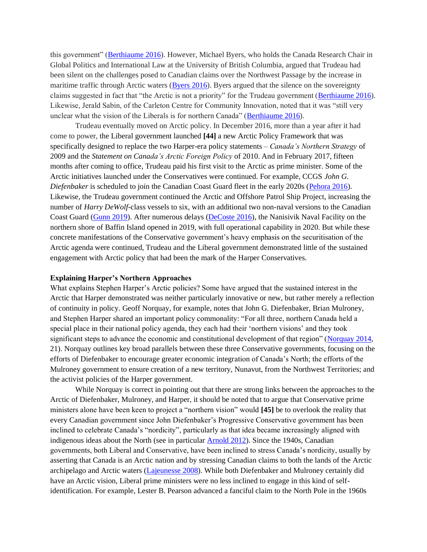this government" [\(Berthiaume 2016\)](#page-8-0). However, Michael Byers, who holds the Canada Research Chair in Global Politics and International Law at the University of British Columbia, argued that Trudeau had been silent on the challenges posed to Canadian claims over the Northwest Passage by the increase in maritime traffic through Arctic waters [\(Byers 2016\)](#page-8-1). Byers argued that the silence on the sovereignty claims suggested in fact that "the Arctic is not a priority" for the Trudeau government [\(Berthiaume 2016\)](#page-8-0). Likewise, Jerald Sabin, of the Carleton Centre for Community Innovation, noted that it was "still very unclear what the vision of the Liberals is for northern Canada" [\(Berthiaume 2016\)](#page-8-0).

Trudeau eventually moved on Arctic policy. In December 2016, more than a year after it had come to power, the Liberal government launched **[44]** a new Arctic Policy Framework that was specifically designed to replace the two Harper-era policy statements – *Canada's Northern Strategy* of 2009 and the *Statement on Canada's Arctic Foreign Policy* of 2010. And in February 2017, fifteen months after coming to office, Trudeau paid his first visit to the Arctic as prime minister. Some of the Arctic initiatives launched under the Conservatives were continued. For example, CCGS *John G. Diefenbaker* is scheduled to join the Canadian Coast Guard fleet in the early 2020s (Pehora 2016). Likewise, the Trudeau government continued the Arctic and Offshore Patrol Ship Project, increasing the number of *Harry DeWolf*-class vessels to six, with an additional two non-naval versions to the Canadian Coast Guard [\(Gunn 2019\)](#page-10-6). After numerous delays [\(DeCoste 2016\)](#page-9-5), the Nanisivik Naval Facility on the northern shore of Baffin Island opened in 2019, with full operational capability in 2020. But while these concrete manifestations of the Conservative government's heavy emphasis on the securitisation of the Arctic agenda were continued, Trudeau and the Liberal government demonstrated little of the sustained engagement with Arctic policy that had been the mark of the Harper Conservatives.

### **Explaining Harper's Northern Approaches**

What explains Stephen Harper's Arctic policies? Some have argued that the sustained interest in the Arctic that Harper demonstrated was neither particularly innovative or new, but rather merely a reflection of continuity in policy. Geoff Norquay, for example, notes that John G. Diefenbaker, Brian Mulroney, and Stephen Harper shared an important policy commonality: "For all three, northern Canada held a special place in their national policy agenda, they each had their 'northern visions' and they took significant steps to advance the economic and constitutional development of that region" [\(Norquay 2014,](#page-10-7) 21). Norquay outlines key broad parallels between these three Conservative governments, focusing on the efforts of Diefenbaker to encourage greater economic integration of Canada's North; the efforts of the Mulroney government to ensure creation of a new territory, Nunavut, from the Northwest Territories; and the activist policies of the Harper government.

While Norquay is correct in pointing out that there are strong links between the approaches to the Arctic of Diefenbaker, Mulroney, and Harper, it should be noted that to argue that Conservative prime ministers alone have been keen to project a "northern vision" would **[45]** be to overlook the reality that every Canadian government since John Diefenbaker's Progressive Conservative government has been inclined to celebrate Canada's "nordicity", particularly as that idea became increasingly aligned with indigenous ideas about the North (see in particular [Arnold 2012\)](#page-8-2). Since the 1940s, Canadian governments, both Liberal and Conservative, have been inclined to stress Canada's nordicity, usually by asserting that Canada is an Arctic nation and by stressing Canadian claims to both the lands of the Arctic archipelago and Arctic waters [\(Lajeunesse 2008\)](#page-10-8). While both Diefenbaker and Mulroney certainly did have an Arctic vision, Liberal prime ministers were no less inclined to engage in this kind of selfidentification. For example, Lester B. Pearson advanced a fanciful claim to the North Pole in the 1960s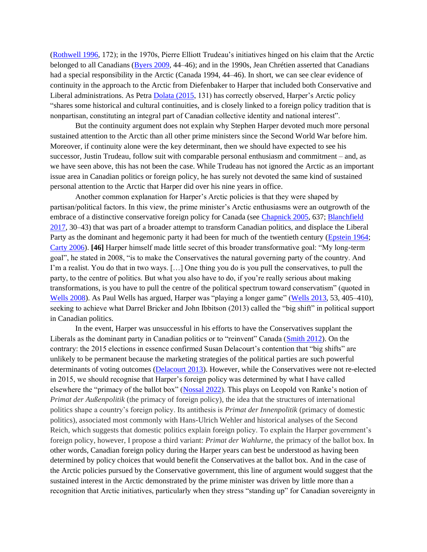[\(Rothwell 1996,](#page-11-4) 172); in the 1970s, Pierre Elliott Trudeau's initiatives hinged on his claim that the Arctic belonged to all Canadians [\(Byers 2009,](#page-8-3) 44–46); and in the 1990s, Jean Chrétien asserted that Canadians had a special responsibility in the Arctic (Canada 1994, 44–46). In short, we can see clear evidence of continuity in the approach to the Arctic from Diefenbaker to Harper that included both Conservative and Liberal administrations. As Petra [Dolata \(2015,](#page-9-3) 131) has correctly observed, Harper's Arctic policy "shares some historical and cultural continuities, and is closely linked to a foreign policy tradition that is nonpartisan, constituting an integral part of Canadian collective identity and national interest".

But the continuity argument does not explain why Stephen Harper devoted much more personal sustained attention to the Arctic than all other prime ministers since the Second World War before him. Moreover, if continuity alone were the key determinant, then we should have expected to see his successor, Justin Trudeau, follow suit with comparable personal enthusiasm and commitment – and, as we have seen above, this has not been the case. While Trudeau has not ignored the Arctic as an important issue area in Canadian politics or foreign policy, he has surely not devoted the same kind of sustained personal attention to the Arctic that Harper did over his nine years in office.

Another common explanation for Harper's Arctic policies is that they were shaped by partisan/political factors. In this view, the prime minister's Arctic enthusiasms were an outgrowth of the embrace of a distinctive conservative foreign policy for Canada (see [Chapnick 2005,](#page-9-6) 637[; Blanchfield](#page-8-4)  [2017,](#page-8-4) 30–43) that was part of a broader attempt to transform Canadian politics, and displace the Liberal Party as the dominant and hegemonic party it had been for much of the twentieth century [\(Epstein 1964;](#page-9-7) [Carty 2006\)](#page-9-8). **[46]** Harper himself made little secret of this broader transformative goal: "My long-term goal", he stated in 2008, "is to make the Conservatives the natural governing party of the country. And I'm a realist. You do that in two ways. […] One thing you do is you pull the conservatives, to pull the party, to the centre of politics. But what you also have to do, if you're really serious about making transformations, is you have to pull the centre of the political spectrum toward conservatism" (quoted in [Wells 2008\)](#page-11-5). As Paul Wells has argued, Harper was "playing a longer game" [\(Wells 2013,](#page-11-0) 53, 405–410), seeking to achieve what Darrel Bricker and John Ibbitson (2013) called the "big shift" in political support in Canadian politics.

In the event, Harper was unsuccessful in his efforts to have the Conservatives supplant the Liberals as the dominant party in Canadian politics or to "reinvent" Canada [\(Smith 2012\)](#page-11-6). On the contrary: the 2015 elections in essence confirmed Susan Delacourt's contention that "big shifts" are unlikely to be permanent because the marketing strategies of the political parties are such powerful determinants of voting outcomes [\(Delacourt 2013\)](#page-9-9). However, while the Conservatives were not re-elected in 2015, we should recognise that Harper's foreign policy was determined by what I have called elsewhere the "primacy of the ballot box" [\(Nossal 2022\)](#page-10-9). This plays on Leopold von Ranke's notion of *Primat der Außenpolitik* (the primacy of foreign policy), the idea that the structures of international politics shape a country's foreign policy. Its antithesis is *Primat der Innenpolitik* (primacy of domestic politics), associated most commonly with Hans-Ulrich Wehler and historical analyses of the Second Reich, which suggests that domestic politics explain foreign policy. To explain the Harper government's foreign policy, however, I propose a third variant: *Primat der Wahlurne*, the primacy of the ballot box. In other words, Canadian foreign policy during the Harper years can best be understood as having been determined by policy choices that would benefit the Conservatives at the ballot box. And in the case of the Arctic policies pursued by the Conservative government, this line of argument would suggest that the sustained interest in the Arctic demonstrated by the prime minister was driven by little more than a recognition that Arctic initiatives, particularly when they stress "standing up" for Canadian sovereignty in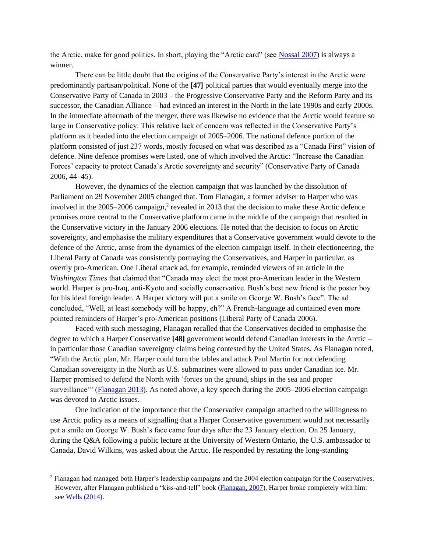the Arctic, make for good politics. In short, playing the "Arctic card" (see [Nossal 2007\)](#page-10-10) is always a winner.

There can be little doubt that the origins of the Conservative Party's interest in the Arctic were predominantly partisan/political. None of the **[47]** political parties that would eventually merge into the Conservative Party of Canada in 2003 – the Progressive Conservative Party and the Reform Party and its successor, the Canadian Alliance – had evinced an interest in the North in the late 1990s and early 2000s. In the immediate aftermath of the merger, there was likewise no evidence that the Arctic would feature so large in Conservative policy. This relative lack of concern was reflected in the Conservative Party's platform as it headed into the election campaign of 2005–2006. The national defence portion of the platform consisted of just 237 words, mostly focused on what was described as a "Canada First" vision of defence. Nine defence promises were listed, one of which involved the Arctic: "Increase the Canadian Forces' capacity to protect Canada's Arctic sovereignty and security" (Conservative Party of Canada 2006, 44–45).

However, the dynamics of the election campaign that was launched by the dissolution of Parliament on 29 November 2005 changed that. Tom Flanagan, a former adviser to Harper who was involved in the  $2005-2006$  campaign,<sup>2</sup> revealed in 2013 that the decision to make these Arctic defence promises more central to the Conservative platform came in the middle of the campaign that resulted in the Conservative victory in the January 2006 elections. He noted that the decision to focus on Arctic sovereignty, and emphasise the military expenditures that a Conservative government would devote to the defence of the Arctic, arose from the dynamics of the election campaign itself. In their electioneering, the Liberal Party of Canada was consistently portraying the Conservatives, and Harper in particular, as overtly pro-American. One Liberal attack ad, for example, reminded viewers of an article in the *Washington Times* that claimed that "Canada may elect the most pro-American leader in the Western world. Harper is pro-Iraq, anti-Kyoto and socially conservative. Bush's best new friend is the poster boy for his ideal foreign leader. A Harper victory will put a smile on George W. Bush's face". The ad concluded, "Well, at least somebody will be happy, eh?" A French-language ad contained even more pointed reminders of Harper's pro-American positions (Liberal Party of Canada 2006).

Faced with such messaging, Flanagan recalled that the Conservatives decided to emphasise the degree to which a Harper Conservative **[48]** government would defend Canadian interests in the Arctic – in particular those Canadian sovereignty claims being contested by the United States. As Flanagan noted, "With the Arctic plan, Mr. Harper could turn the tables and attack Paul Martin for not defending Canadian sovereignty in the North as U.S. submarines were allowed to pass under Canadian ice. Mr. Harper promised to defend the North with 'forces on the ground, ships in the sea and proper surveillance'" [\(Flanagan 2013\)](#page-9-10). As noted above, a key speech during the 2005–2006 election campaign was devoted to Arctic issues.

One indication of the importance that the Conservative campaign attached to the willingness to use Arctic policy as a means of signalling that a Harper Conservative government would not necessarily put a smile on George W. Bush's face came four days after the 23 January election. On 25 January, during the Q&A following a public lecture at the University of Western Ontario, the U.S. ambassador to Canada, David Wilkins, was asked about the Arctic. He responded by restating the long-standing

<sup>2</sup> Flanagan had managed both Harper's leadership campaigns and the 2004 election campaign for the Conservatives. However, after Flanagan published a "kiss-and-tell" book [\(Flanagan, 2007\)](#page-9-11), Harper broke completely with him: see [Wells \(2014\).](#page-11-7)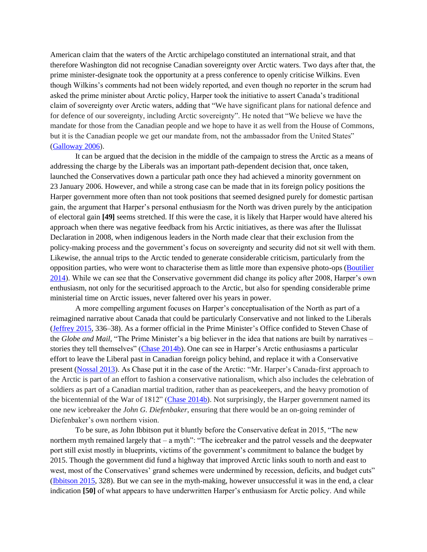American claim that the waters of the Arctic archipelago constituted an international strait, and that therefore Washington did not recognise Canadian sovereignty over Arctic waters. Two days after that, the prime minister-designate took the opportunity at a press conference to openly criticise Wilkins. Even though Wilkins's comments had not been widely reported, and even though no reporter in the scrum had asked the prime minister about Arctic policy, Harper took the initiative to assert Canada's traditional claim of sovereignty over Arctic waters, adding that "We have significant plans for national defence and for defence of our sovereignty, including Arctic sovereignty". He noted that "We believe we have the mandate for those from the Canadian people and we hope to have it as well from the House of Commons, but it is the Canadian people we get our mandate from, not the ambassador from the United States" [\(Galloway 2006\)](#page-9-12).

It can be argued that the decision in the middle of the campaign to stress the Arctic as a means of addressing the charge by the Liberals was an important path-dependent decision that, once taken, launched the Conservatives down a particular path once they had achieved a minority government on 23 January 2006. However, and while a strong case can be made that in its foreign policy positions the Harper government more often than not took positions that seemed designed purely for domestic partisan gain, the argument that Harper's personal enthusiasm for the North was driven purely by the anticipation of electoral gain **[49]** seems stretched. If this were the case, it is likely that Harper would have altered his approach when there was negative feedback from his Arctic initiatives, as there was after the Ilulissat Declaration in 2008, when indigenous leaders in the North made clear that their exclusion from the policy-making process and the government's focus on sovereignty and security did not sit well with them. Likewise, the annual trips to the Arctic tended to generate considerable criticism, particularly from the opposition parties, who were wont to characterise them as little more than expensive photo-ops [\(Boutilier](#page-8-5)  [2014\)](#page-8-5). While we can see that the Conservative government did change its policy after 2008, Harper's own enthusiasm, not only for the securitised approach to the Arctic, but also for spending considerable prime ministerial time on Arctic issues, never faltered over his years in power.

A more compelling argument focuses on Harper's conceptualisation of the North as part of a reimagined narrative about Canada that could be particularly Conservative and not linked to the Liberals [\(Jeffrey 2015,](#page-10-11) 336–38). As a former official in the Prime Minister's Office confided to Steven Chase of the *Globe and Mail*, "The Prime Minister's a big believer in the idea that nations are built by narratives – stories they tell themselves" [\(Chase 2014b\)](#page-9-13). One can see in Harper's Arctic enthusiasms a particular effort to leave the Liberal past in Canadian foreign policy behind, and replace it with a Conservative present [\(Nossal 2013\)](#page-10-12). As Chase put it in the case of the Arctic: "Mr. Harper's Canada-first approach to the Arctic is part of an effort to fashion a conservative nationalism, which also includes the celebration of soldiers as part of a Canadian martial tradition, rather than as peacekeepers, and the heavy promotion of the bicentennial of the War of  $1812$ " (Chase  $2014b$ ). Not surprisingly, the Harper government named its one new icebreaker the *John G. Diefenbaker*, ensuring that there would be an on-going reminder of Diefenbaker's own northern vision.

To be sure, as John Ibbitson put it bluntly before the Conservative defeat in 2015, "The new northern myth remained largely that – a myth": "The icebreaker and the patrol vessels and the deepwater port still exist mostly in blueprints, victims of the government's commitment to balance the budget by 2015. Though the government did fund a highway that improved Arctic links south to north and east to west, most of the Conservatives' grand schemes were undermined by recession, deficits, and budget cuts" [\(Ibbitson 2015,](#page-10-13) 328). But we can see in the myth-making, however unsuccessful it was in the end, a clear indication **[50]** of what appears to have underwritten Harper's enthusiasm for Arctic policy. And while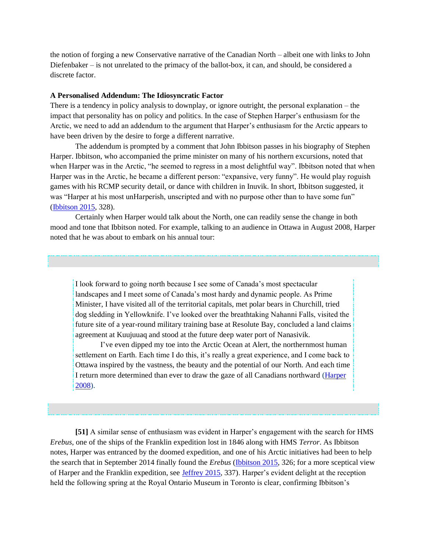the notion of forging a new Conservative narrative of the Canadian North – albeit one with links to John Diefenbaker – is not unrelated to the primacy of the ballot-box, it can, and should, be considered a discrete factor.

#### **A Personalised Addendum: The Idiosyncratic Factor**

There is a tendency in policy analysis to downplay, or ignore outright, the personal explanation – the impact that personality has on policy and politics. In the case of Stephen Harper's enthusiasm for the Arctic, we need to add an addendum to the argument that Harper's enthusiasm for the Arctic appears to have been driven by the desire to forge a different narrative.

The addendum is prompted by a comment that John Ibbitson passes in his biography of Stephen Harper. Ibbitson, who accompanied the prime minister on many of his northern excursions, noted that when Harper was in the Arctic, "he seemed to regress in a most delightful way". Ibbitson noted that when Harper was in the Arctic, he became a different person: "expansive, very funny". He would play roguish games with his RCMP security detail, or dance with children in Inuvik. In short, Ibbitson suggested, it was "Harper at his most unHarperish, unscripted and with no purpose other than to have some fun" [\(Ibbitson 2015,](#page-10-13) 328).

Certainly when Harper would talk about the North, one can readily sense the change in both mood and tone that Ibbitson noted. For example, talking to an audience in Ottawa in August 2008, Harper noted that he was about to embark on his annual tour:

I look forward to going north because I see some of Canada's most spectacular landscapes and I meet some of Canada's most hardy and dynamic people. As Prime Minister, I have visited all of the territorial capitals, met polar bears in Churchill, tried dog sledding in Yellowknife. I've looked over the breathtaking Nahanni Falls, visited the future site of a year-round military training base at Resolute Bay, concluded a land claims agreement at Kuujuuaq and stood at the future deep water port of Nanasivik.

I've even dipped my toe into the Arctic Ocean at Alert, the northernmost human settlement on Earth. Each time I do this, it's really a great experience, and I come back to Ottawa inspired by the vastness, the beauty and the potential of our North. And each time I return more determined than ever to draw the gaze of all Canadians northward (*Harper* [2008\)](#page-10-3).

**[51]** A similar sense of enthusiasm was evident in Harper's engagement with the search for HMS *Erebus*, one of the ships of the Franklin expedition lost in 1846 along with HMS *Terror*. As Ibbitson notes, Harper was entranced by the doomed expedition, and one of his Arctic initiatives had been to help the search that in September 2014 finally found the *Erebus* [\(Ibbitson 2015,](#page-10-13) 326; for a more sceptical view of Harper and the Franklin expedition, see [Jeffrey 2015,](#page-10-11) 337). Harper's evident delight at the reception held the following spring at the Royal Ontario Museum in Toronto is clear, confirming Ibbitson's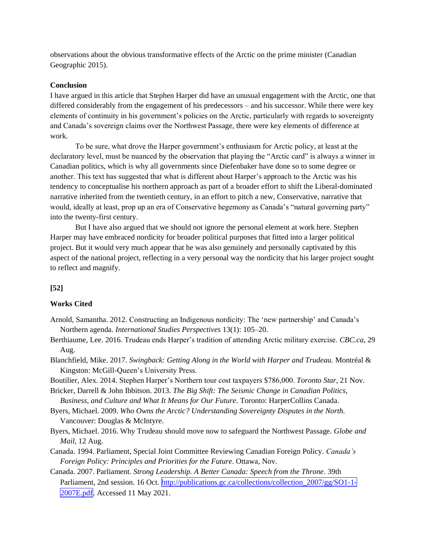observations about the obvious transformative effects of the Arctic on the prime minister (Canadian Geographic 2015).

## **Conclusion**

I have argued in this article that Stephen Harper did have an unusual engagement with the Arctic, one that differed considerably from the engagement of his predecessors – and his successor. While there were key elements of continuity in his government's policies on the Arctic, particularly with regards to sovereignty and Canada's sovereign claims over the Northwest Passage, there were key elements of difference at work.

To be sure, what drove the Harper government's enthusiasm for Arctic policy, at least at the declaratory level, must be nuanced by the observation that playing the "Arctic card" is always a winner in Canadian politics, which is why all governments since Diefenbaker have done so to some degree or another. This text has suggested that what is different about Harper's approach to the Arctic was his tendency to conceptualise his northern approach as part of a broader effort to shift the Liberal-dominated narrative inherited from the twentieth century, in an effort to pitch a new, Conservative, narrative that would, ideally at least, prop up an era of Conservative hegemony as Canada's "natural governing party" into the twenty-first century.

But I have also argued that we should not ignore the personal element at work here. Stephen Harper may have embraced nordicity for broader political purposes that fitted into a larger political project. But it would very much appear that he was also genuinely and personally captivated by this aspect of the national project, reflecting in a very personal way the nordicity that his larger project sought to reflect and magnify.

# **[52]**

## **Works Cited**

- <span id="page-8-2"></span>Arnold, Samantha. 2012. Constructing an Indigenous nordicity: The 'new partnership' and Canada's Northern agenda. *International Studies Perspectives* 13(1): 105–20.
- <span id="page-8-0"></span>Berthiaume, Lee. 2016. Trudeau ends Harper's tradition of attending Arctic military exercise. *CBC.ca*, 29 Aug.
- <span id="page-8-4"></span>Blanchfield, Mike. 2017. *Swingback: Getting Along in the World with Harper and Trudeau.* Montréal & Kingston: McGill-Queen's University Press.
- <span id="page-8-5"></span>Boutilier, Alex. 2014. Stephen Harper's Northern tour cost taxpayers \$786,000. *Toronto Star*, 21 Nov.
- Bricker, Darrell & John Ibbitson. 2013. *The Big Shift: The Seismic Change in Canadian Politics, Business, and Culture and What It Means for Our Future*. Toronto: HarperCollins Canada.
- <span id="page-8-3"></span>Byers, Michael. 2009. *Who Owns the Arctic? Understanding Sovereignty Disputes in the North.*  Vancouver: Douglas & McIntyre.
- <span id="page-8-1"></span>Byers, Michael. 2016. Why Trudeau should move now to safeguard the Northwest Passage. *Globe and Mail*, 12 Aug.
- Canada. 1994. Parliament, Special Joint Committee Reviewing Canadian Foreign Policy. *Canada's Foreign Policy: Principles and Priorities for the Future*. Ottawa, Nov.
- Canada. 2007. Parliament. *Strong Leadership. A Better Canada: Speech from the Throne*. 39th Parliament, 2nd session. 16 Oct. [http://publications.gc.ca/collections/collection\\_2007/gg/SO1-1-](http://publications.gc.ca/collections/collection_2007/gg/SO1-1-2007E.pdf) [2007E.pdf.](http://publications.gc.ca/collections/collection_2007/gg/SO1-1-2007E.pdf) Accessed 11 May 2021.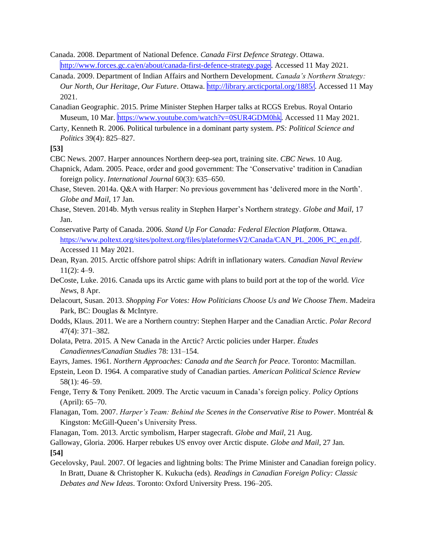Canada. 2008. Department of National Defence. *Canada First Defence Strategy*. Ottawa. [http://www.forces.gc.ca/en/about/canada-first-defence-strategy.page.](http://www.forces.gc.ca/en/about/canada-first-defence-strategy.page) Accessed 11 May 2021.

- Canada. 2009. Department of Indian Affairs and Northern Development. *Canada's Northern Strategy: Our North, Our Heritage, Our Future*. Ottawa. [http://library.arcticportal.org/1885/.](http://library.arcticportal.org/1885/) Accessed 11 May 2021.
- Canadian Geographic. 2015. Prime Minister Stephen Harper talks at RCGS Erebus. Royal Ontario Museum, 10 Mar. [https://www.youtube.com/watch?v=0SUR4GDM0hk.](https://www.youtube.com/watch?v=0SUR4GDM0hk) Accessed 11 May 2021.
- <span id="page-9-8"></span>Carty, Kenneth R. 2006. Political turbulence in a dominant party system. *PS: Political Science and Politics* 39(4): 825–827.

**[53]** 

- CBC News. 2007. Harper announces Northern deep-sea port, training site. *CBC News*. 10 Aug.
- <span id="page-9-6"></span>Chapnick, Adam. 2005. Peace, order and good government: The 'Conservative' tradition in Canadian foreign policy. *International Journal* 60(3): 635–650.
- <span id="page-9-4"></span>Chase, Steven. 2014a. Q&A with Harper: No previous government has 'delivered more in the North'. *Globe and Mail*, 17 Jan.
- <span id="page-9-13"></span>Chase, Steven. 2014b. Myth versus reality in Stephen Harper's Northern strategy. *Globe and Mail*, 17 Jan.
- Conservative Party of Canada. 2006. *Stand Up For Canada: Federal Election Platform*. Ottawa. [https://www.poltext.org/sites/poltext.org/files/plateformesV2/Canada/CAN\\_PL\\_2006\\_PC\\_en.pdf.](https://www.poltext.org/sites/poltext.org/files/plateformesV2/Canada/CAN_PL_2006_PC_en.pdf) Accessed 11 May 2021.
- <span id="page-9-2"></span>Dean, Ryan. 2015. Arctic offshore patrol ships: Adrift in inflationary waters. *Canadian Naval Review*   $11(2): 4-9.$
- <span id="page-9-5"></span>DeCoste, Luke. 2016. Canada ups its Arctic game with plans to build port at the top of the world. *Vice News*, 8 Apr.
- <span id="page-9-9"></span>Delacourt, Susan. 2013. *Shopping For Votes: How Politicians Choose Us and We Choose Them*. Madeira Park, BC: Douglas & McIntyre.
- <span id="page-9-1"></span>Dodds, Klaus. 2011. We are a Northern country: Stephen Harper and the Canadian Arctic. *Polar Record*  47(4): 371–382.
- <span id="page-9-3"></span>Dolata, Petra. 2015. A New Canada in the Arctic? Arctic policies under Harper. *Études Canadiennes/Canadian Studies* 78: 131–154.

Eayrs, James. 1961. *Northern Approaches: Canada and the Search for Peace.* Toronto: Macmillan.

- <span id="page-9-7"></span>Epstein, Leon D. 1964. A comparative study of Canadian parties. *American Political Science Review* 58(1): 46–59.
- Fenge, Terry & Tony Penikett. 2009. The Arctic vacuum in Canada's foreign policy. *Policy Options*  (April): 65–70.
- <span id="page-9-11"></span>Flanagan, Tom. 2007. *Harper's Team: Behind the Scenes in the Conservative Rise to Power*. Montréal & Kingston: McGill-Queen's University Press.

<span id="page-9-10"></span>Flanagan, Tom. 2013. Arctic symbolism, Harper stagecraft. *Globe and Mail*, 21 Aug.

<span id="page-9-12"></span>Galloway, Gloria. 2006. Harper rebukes US envoy over Arctic dispute. *Globe and Mail*, 27 Jan. **[54]**

<span id="page-9-0"></span>Gecelovsky, Paul. 2007. Of legacies and lightning bolts: The Prime Minister and Canadian foreign policy. In Bratt, Duane & Christopher K. Kukucha (eds). *Readings in Canadian Foreign Policy: Classic Debates and New Ideas*. Toronto: Oxford University Press. 196–205.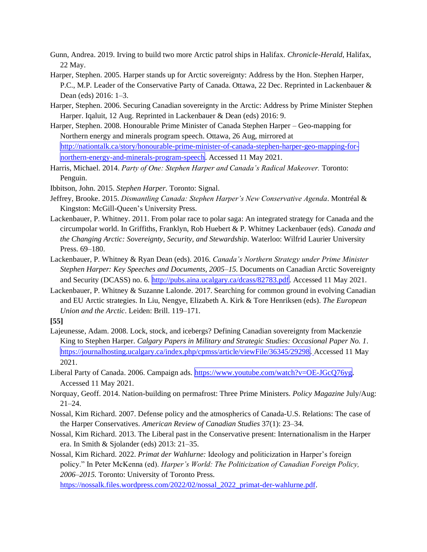- <span id="page-10-6"></span>Gunn, Andrea. 2019. Irving to build two more Arctic patrol ships in Halifax. *Chronicle-Herald*, Halifax, 22 May.
- <span id="page-10-1"></span>Harper, Stephen. 2005. Harper stands up for Arctic sovereignty: Address by the Hon. Stephen Harper, P.C., M.P. Leader of the Conservative Party of Canada. Ottawa, 22 Dec. Reprinted in Lackenbauer & Dean (eds) 2016: 1–3.
- <span id="page-10-2"></span>Harper, Stephen. 2006. Securing Canadian sovereignty in the Arctic: Address by Prime Minister Stephen Harper. Iqaluit, 12 Aug. Reprinted in Lackenbauer & Dean (eds) 2016: 9.
- <span id="page-10-3"></span>Harper, Stephen. 2008. Honourable Prime Minister of Canada Stephen Harper – Geo-mapping for Northern energy and minerals program speech. Ottawa, 26 Aug, mirrored at [http://nationtalk.ca/story/honourable-prime-minister-of-canada-stephen-harper-geo-mapping-for](http://nationtalk.ca/story/honourable-prime-minister-of-canada-stephen-harper-geo-mapping-for-northern-energy-and-minerals-program-speech)[northern-energy-and-minerals-program-speech.](http://nationtalk.ca/story/honourable-prime-minister-of-canada-stephen-harper-geo-mapping-for-northern-energy-and-minerals-program-speech) Accessed 11 May 2021.
- <span id="page-10-0"></span>Harris, Michael. 2014. *Party of One: Stephen Harper and Canada's Radical Makeover.* Toronto: Penguin.
- <span id="page-10-13"></span>Ibbitson, John. 2015. *Stephen Harper.* Toronto: Signal.
- <span id="page-10-11"></span>Jeffrey, Brooke. 2015. *Dismantling Canada: Stephen Harper's New Conservative Agenda*. Montréal & Kingston: McGill-Queen's University Press.
- <span id="page-10-4"></span>Lackenbauer, P. Whitney. 2011. From polar race to polar saga: An integrated strategy for Canada and the circumpolar world. In Griffiths, Franklyn, Rob Huebert & P. Whitney Lackenbauer (eds). *Canada and the Changing Arctic: Sovereignty, Security, and Stewardship*. Waterloo: Wilfrid Laurier University Press. 69–180.
- Lackenbauer, P. Whitney & Ryan Dean (eds). 2016. *Canada's Northern Strategy under Prime Minister Stephen Harper: Key Speeches and Documents, 2005–15.* Documents on Canadian Arctic Sovereignty and Security (DCASS) no. 6. [http://pubs.aina.ucalgary.ca/dcass/82783.pdf.](http://pubs.aina.ucalgary.ca/dcass/82783.pdf) Accessed 11 May 2021.
- <span id="page-10-5"></span>Lackenbauer, P. Whitney & Suzanne Lalonde. 2017. Searching for common ground in evolving Canadian and EU Arctic strategies. In Liu, Nengye, Elizabeth A. Kirk & Tore Henriksen (eds). *The European Union and the Arctic*. Leiden: Brill. 119–171.

- <span id="page-10-8"></span>Lajeunesse, Adam. 2008. Lock, stock, and icebergs? Defining Canadian sovereignty from Mackenzie King to Stephen Harper. *Calgary Papers in Military and Strategic Studies: Occasional Paper No. 1*. [https://journalhosting.ucalgary.ca/index.php/cpmss/article/viewFile/36345/29298.](https://journalhosting.ucalgary.ca/index.php/cpmss/article/viewFile/36345/29298) Accessed 11 May 2021.
- Liberal Party of Canada. 2006. Campaign ads. https://www.youtube.com/watch?v=OE-JGcO76vg. Accessed 11 May 2021.
- <span id="page-10-7"></span>Norquay, Geoff. 2014. Nation-building on permafrost: Three Prime Ministers. *Policy Magazine* July/Aug: 21–24.
- <span id="page-10-10"></span>Nossal, Kim Richard. 2007. Defense policy and the atmospherics of Canada-U.S. Relations: The case of the Harper Conservatives. *American Review of Canadian Studies* 37(1): 23–34.
- <span id="page-10-12"></span>Nossal, Kim Richard. 2013. The Liberal past in the Conservative present: Internationalism in the Harper era. In Smith & Sjolander (eds) 2013: 21–35.

<span id="page-10-9"></span>Nossal, Kim Richard. 2022. *Primat der Wahlurne:* Ideology and politicization in Harper's foreign policy." In Peter McKenna (ed). *Harper's World: The Politicization of Canadian Foreign Policy, 2006–2015.* Toronto: University of Toronto Press. [https://nossalk.files.wordpress.com/2022/02/nossal\\_2022\\_primat-der-wahlurne.pdf.](https://nossalk.files.wordpress.com/2022/02/nossal_2022_primat-der-wahlurne.pdf)

**<sup>[55]</sup>**